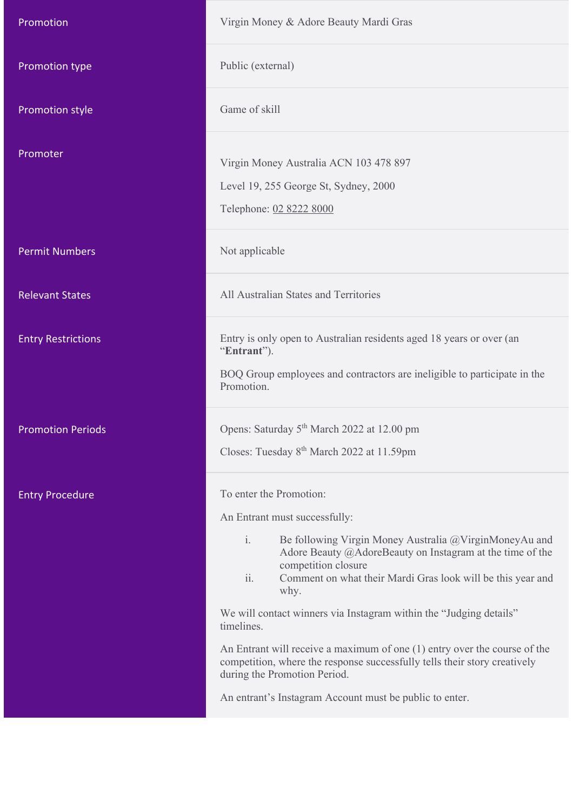| Promotion                 | Virgin Money & Adore Beauty Mardi Gras                                                                                                                                                                                                                                                                                                                                                     |
|---------------------------|--------------------------------------------------------------------------------------------------------------------------------------------------------------------------------------------------------------------------------------------------------------------------------------------------------------------------------------------------------------------------------------------|
| Promotion type            | Public (external)                                                                                                                                                                                                                                                                                                                                                                          |
| Promotion style           | Game of skill                                                                                                                                                                                                                                                                                                                                                                              |
| Promoter                  | Virgin Money Australia ACN 103 478 897<br>Level 19, 255 George St, Sydney, 2000<br>Telephone: 02 8222 8000                                                                                                                                                                                                                                                                                 |
| <b>Permit Numbers</b>     | Not applicable                                                                                                                                                                                                                                                                                                                                                                             |
| <b>Relevant States</b>    | All Australian States and Territories                                                                                                                                                                                                                                                                                                                                                      |
| <b>Entry Restrictions</b> | Entry is only open to Australian residents aged 18 years or over (an<br>"Entrant").<br>BOQ Group employees and contractors are ineligible to participate in the<br>Promotion.                                                                                                                                                                                                              |
| <b>Promotion Periods</b>  | Opens: Saturday 5 <sup>th</sup> March 2022 at 12.00 pm<br>Closes: Tuesday 8 <sup>th</sup> March 2022 at 11.59pm                                                                                                                                                                                                                                                                            |
| <b>Entry Procedure</b>    | To enter the Promotion:<br>An Entrant must successfully:<br>$\mathbf{i}$ .<br>Be following Virgin Money Australia @VirginMoneyAu and<br>Adore Beauty @AdoreBeauty on Instagram at the time of the<br>competition closure<br>ii.<br>Comment on what their Mardi Gras look will be this year and<br>why.<br>We will contact winners via Instagram within the "Judging details"<br>timelines. |
|                           | An Entrant will receive a maximum of one $(1)$ entry over the course of the<br>competition, where the response successfully tells their story creatively<br>during the Promotion Period.<br>An entrant's Instagram Account must be public to enter.                                                                                                                                        |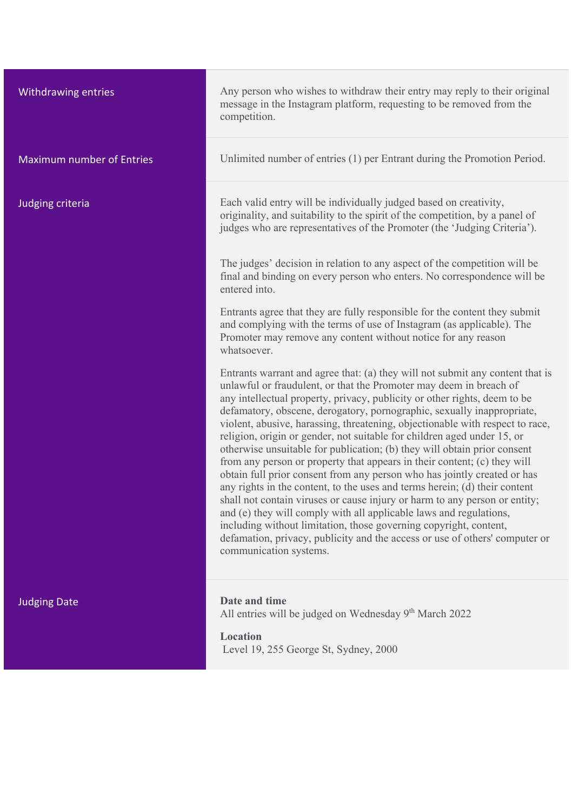| Withdrawing entries              | Any person wh<br>message in the<br>competition.                                                                                                                                                                                                                                         |
|----------------------------------|-----------------------------------------------------------------------------------------------------------------------------------------------------------------------------------------------------------------------------------------------------------------------------------------|
| <b>Maximum number of Entries</b> | Unlimited num                                                                                                                                                                                                                                                                           |
| Judging criteria                 | Each valid entr<br>originality, and<br>judges who are                                                                                                                                                                                                                                   |
|                                  | The judges' de<br>final and bindi<br>entered into.                                                                                                                                                                                                                                      |
|                                  | Entrants agree<br>and complying<br>Promoter may<br>whatsoever.                                                                                                                                                                                                                          |
|                                  | Entrants warra<br>unlawful or fra<br>any intellectual<br>defamatory, ob<br>violent, abusiv<br>religion, origin<br>otherwise unsu<br>from any perso<br>obtain full prio<br>any rights in th<br>shall not contai<br>and (e) they wi<br>including with<br>defamation, pri<br>communication |
| <b>Judging Date</b>              | Date and time<br>All entries will                                                                                                                                                                                                                                                       |
|                                  | <b>Location</b><br>Level 19, 255                                                                                                                                                                                                                                                        |

rson who wishes to withdraw their entry may reply to their original ge in the Instagram platform, requesting to be removed from the tition.

ted number of entries (1) per Entrant during the Promotion Period.

alid entry will be individually judged based on creativity, lity, and suitability to the spirit of the competition, by a panel of who are representatives of the Promoter (the 'Judging Criteria').

lges' decision in relation to any aspect of the competition will be final and binding on every person who enters. No correspondence will be into.

ts agree that they are fully responsible for the content they submit mplying with the terms of use of Instagram (as applicable). The ter may remove any content without notice for any reason ever.

ts warrant and agree that: (a) they will not submit any content that is ul or fraudulent, or that the Promoter may deem in breach of ellectual property, privacy, publicity or other rights, deem to be defamatory, obscene, derogatory, pornographic, sexually inappropriate, abusive, harassing, threatening, objectionable with respect to race, n, origin or gender, not suitable for children aged under 15, or ise unsuitable for publication; (b) they will obtain prior consent from any person or property that appears in their content; (c) they will full prior consent from any person who has jointly created or has hts in the content, to the uses and terms herein; (d) their content ot contain viruses or cause injury or harm to any person or entity; they will comply with all applicable laws and regulations, ng without limitation, those governing copyright, content, tion, privacy, publicity and the access or use of others' computer or inication systems.

ries will be judged on Wednesday 9<sup>th</sup> March 2022

### $\mathbf{u}$

19, 255 George St, Sydney, 2000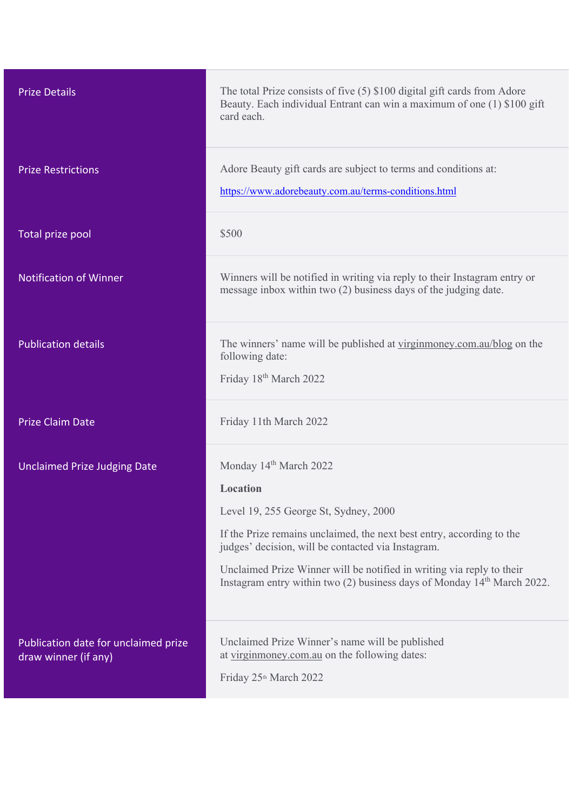| <b>Prize Details</b>                                         | The total Prize consists of five $(5)$ \$100 digital gift cards from Adore<br>Beauty. Each individual Entrant can win a maximum of one (1) \$100 gift<br>card each.                                                                                                                                                                                                                           |
|--------------------------------------------------------------|-----------------------------------------------------------------------------------------------------------------------------------------------------------------------------------------------------------------------------------------------------------------------------------------------------------------------------------------------------------------------------------------------|
| <b>Prize Restrictions</b>                                    | Adore Beauty gift cards are subject to terms and conditions at:<br>https://www.adorebeauty.com.au/terms-conditions.html                                                                                                                                                                                                                                                                       |
| Total prize pool                                             | \$500                                                                                                                                                                                                                                                                                                                                                                                         |
| <b>Notification of Winner</b>                                | Winners will be notified in writing via reply to their Instagram entry or<br>message inbox within two (2) business days of the judging date.                                                                                                                                                                                                                                                  |
| <b>Publication details</b>                                   | The winners' name will be published at virginmoney.com.au/blog on the<br>following date:<br>Friday 18th March 2022                                                                                                                                                                                                                                                                            |
| <b>Prize Claim Date</b>                                      | Friday 11th March 2022                                                                                                                                                                                                                                                                                                                                                                        |
| <b>Unclaimed Prize Judging Date</b>                          | Monday 14 <sup>th</sup> March 2022<br><b>Location</b><br>Level 19, 255 George St, Sydney, 2000<br>If the Prize remains unclaimed, the next best entry, according to the<br>judges' decision, will be contacted via Instagram.<br>Unclaimed Prize Winner will be notified in writing via reply to their<br>Instagram entry within two (2) business days of Monday 14 <sup>th</sup> March 2022. |
| Publication date for unclaimed prize<br>draw winner (if any) | Unclaimed Prize Winner's name will be published<br>at virginmoney.com.au on the following dates:<br>Friday 25 <sup>th</sup> March 2022                                                                                                                                                                                                                                                        |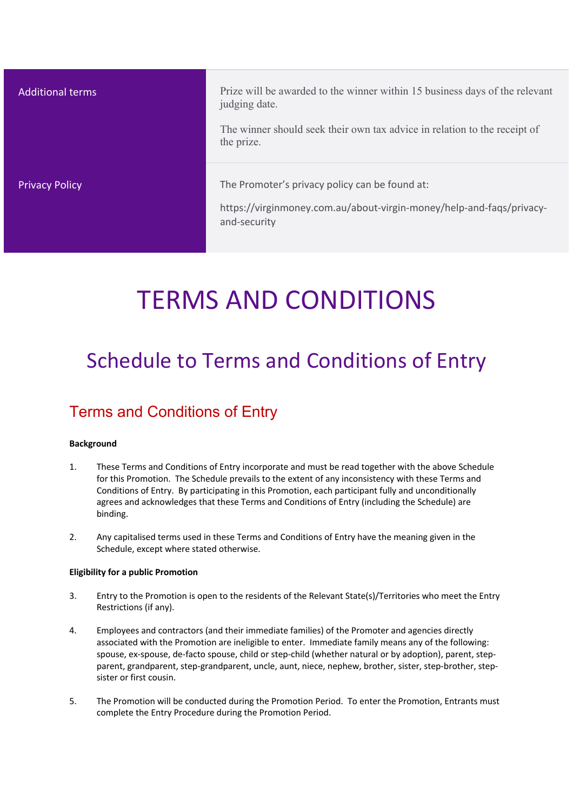| <b>Additional terms</b> | Prize will be awarded to the winner within 15 business days of the relevant<br>judging date.<br>The winner should seek their own tax advice in relation to the receipt of<br>the prize. |
|-------------------------|-----------------------------------------------------------------------------------------------------------------------------------------------------------------------------------------|
| <b>Privacy Policy</b>   | The Promoter's privacy policy can be found at:<br>https://virginmoney.com.au/about-virgin-money/help-and-faqs/privacy-<br>and-security                                                  |

# TERMS AND CONDITIONS

## Schedule to Terms and Conditions of Entry

### Terms and Conditions of Entry

### **Background**

- 1. These Terms and Conditions of Entry incorporate and must be read together with the above Schedule for this Promotion. The Schedule prevails to the extent of any inconsistency with these Terms and Conditions of Entry. By participating in this Promotion, each participant fully and unconditionally agrees and acknowledges that these Terms and Conditions of Entry (including the Schedule) are binding.
- 2. Any capitalised terms used in these Terms and Conditions of Entry have the meaning given in the Schedule, except where stated otherwise.

#### **Eligibility for a public Promotion**

- 3. Entry to the Promotion is open to the residents of the Relevant State(s)/Territories who meet the Entry Restrictions (if any).
- 4. Employees and contractors (and their immediate families) of the Promoter and agencies directly associated with the Promotion are ineligible to enter. Immediate family means any of the following: spouse, ex-spouse, de-facto spouse, child or step-child (whether natural or by adoption), parent, stepparent, grandparent, step-grandparent, uncle, aunt, niece, nephew, brother, sister, step-brother, stepsister or first cousin.
- 5. The Promotion will be conducted during the Promotion Period. To enter the Promotion, Entrants must complete the Entry Procedure during the Promotion Period.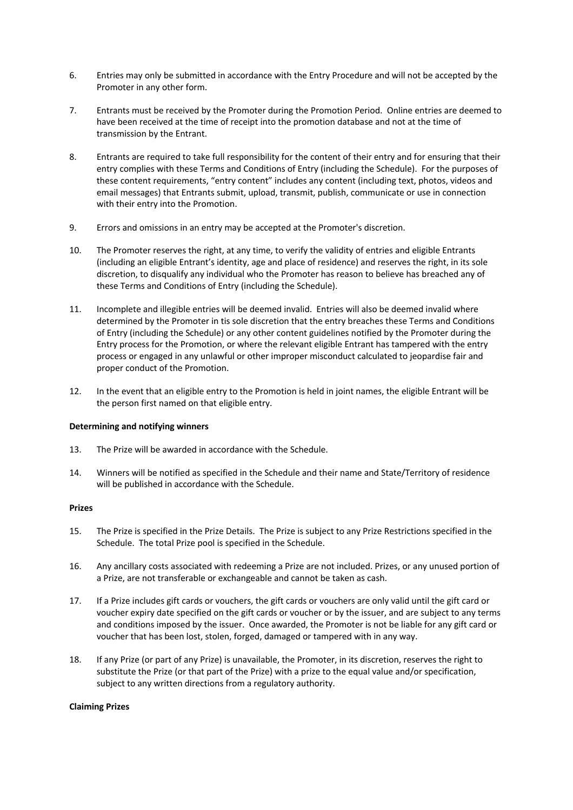- 6. Entries may only be submitted in accordance with the Entry Procedure and will not be accepted by the Promoter in any other form.
- 7. Entrants must be received by the Promoter during the Promotion Period. Online entries are deemed to have been received at the time of receipt into the promotion database and not at the time of transmission by the Entrant.
- 8. Entrants are required to take full responsibility for the content of their entry and for ensuring that their entry complies with these Terms and Conditions of Entry (including the Schedule). For the purposes of these content requirements, "entry content" includes any content (including text, photos, videos and email messages) that Entrants submit, upload, transmit, publish, communicate or use in connection with their entry into the Promotion.
- 9. Errors and omissions in an entry may be accepted at the Promoter's discretion.
- 10. The Promoter reserves the right, at any time, to verify the validity of entries and eligible Entrants (including an eligible Entrant's identity, age and place of residence) and reserves the right, in its sole discretion, to disqualify any individual who the Promoter has reason to believe has breached any of these Terms and Conditions of Entry (including the Schedule).
- 11. Incomplete and illegible entries will be deemed invalid. Entries will also be deemed invalid where determined by the Promoter in tis sole discretion that the entry breaches these Terms and Conditions of Entry (including the Schedule) or any other content guidelines notified by the Promoter during the Entry process for the Promotion, or where the relevant eligible Entrant has tampered with the entry process or engaged in any unlawful or other improper misconduct calculated to jeopardise fair and proper conduct of the Promotion.
- 12. In the event that an eligible entry to the Promotion is held in joint names, the eligible Entrant will be the person first named on that eligible entry.

#### **Determining and notifying winners**

- 13. The Prize will be awarded in accordance with the Schedule.
- 14. Winners will be notified as specified in the Schedule and their name and State/Territory of residence will be published in accordance with the Schedule.

#### **Prizes**

- 15. The Prize is specified in the Prize Details. The Prize is subject to any Prize Restrictions specified in the Schedule. The total Prize pool is specified in the Schedule.
- 16. Any ancillary costs associated with redeeming a Prize are not included. Prizes, or any unused portion of a Prize, are not transferable or exchangeable and cannot be taken as cash.
- 17. If a Prize includes gift cards or vouchers, the gift cards or vouchers are only valid until the gift card or voucher expiry date specified on the gift cards or voucher or by the issuer, and are subject to any terms and conditions imposed by the issuer. Once awarded, the Promoter is not be liable for any gift card or voucher that has been lost, stolen, forged, damaged or tampered with in any way.
- 18. If any Prize (or part of any Prize) is unavailable, the Promoter, in its discretion, reserves the right to substitute the Prize (or that part of the Prize) with a prize to the equal value and/or specification, subject to any written directions from a regulatory authority.

#### **Claiming Prizes**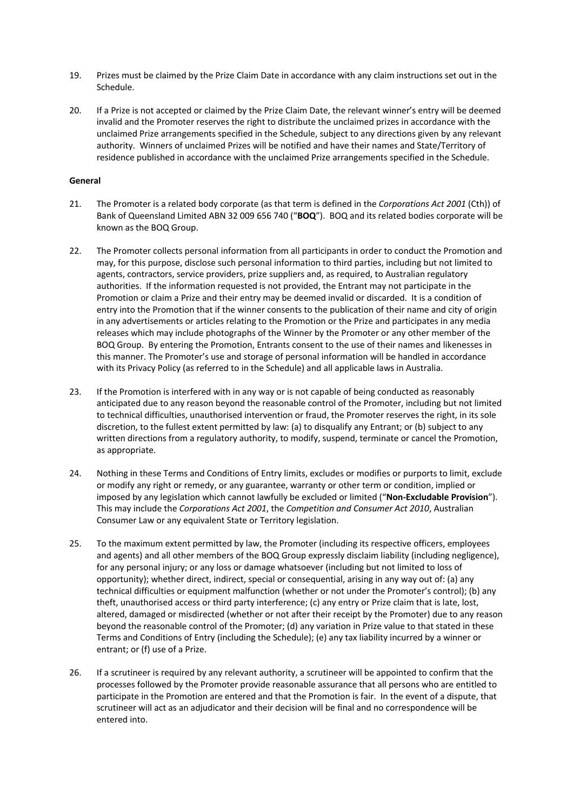- 19. Prizes must be claimed by the Prize Claim Date in accordance with any claim instructions set out in the Schedule.
- 20. If a Prize is not accepted or claimed by the Prize Claim Date, the relevant winner's entry will be deemed invalid and the Promoter reserves the right to distribute the unclaimed prizes in accordance with the unclaimed Prize arrangements specified in the Schedule, subject to any directions given by any relevant authority. Winners of unclaimed Prizes will be notified and have their names and State/Territory of residence published in accordance with the unclaimed Prize arrangements specified in the Schedule.

#### **General**

- 21. The Promoter is a related body corporate (as that term is defined in the *Corporations Act 2001* (Cth)) of Bank of Queensland Limited ABN 32 009 656 740 ("**BOQ**"). BOQ and its related bodies corporate will be known as the BOQ Group.
- 22. The Promoter collects personal information from all participants in order to conduct the Promotion and may, for this purpose, disclose such personal information to third parties, including but not limited to agents, contractors, service providers, prize suppliers and, as required, to Australian regulatory authorities. If the information requested is not provided, the Entrant may not participate in the Promotion or claim a Prize and their entry may be deemed invalid or discarded. It is a condition of entry into the Promotion that if the winner consents to the publication of their name and city of origin in any advertisements or articles relating to the Promotion or the Prize and participates in any media releases which may include photographs of the Winner by the Promoter or any other member of the BOQ Group. By entering the Promotion, Entrants consent to the use of their names and likenesses in this manner. The Promoter's use and storage of personal information will be handled in accordance with its Privacy Policy (as referred to in the Schedule) and all applicable laws in Australia.
- 23. If the Promotion is interfered with in any way or is not capable of being conducted as reasonably anticipated due to any reason beyond the reasonable control of the Promoter, including but not limited to technical difficulties, unauthorised intervention or fraud, the Promoter reserves the right, in its sole discretion, to the fullest extent permitted by law: (a) to disqualify any Entrant; or (b) subject to any written directions from a regulatory authority, to modify, suspend, terminate or cancel the Promotion, as appropriate.
- 24. Nothing in these Terms and Conditions of Entry limits, excludes or modifies or purports to limit, exclude or modify any right or remedy, or any guarantee, warranty or other term or condition, implied or imposed by any legislation which cannot lawfully be excluded or limited ("**Non-Excludable Provision**"). This may include the *Corporations Act 2001*, the *Competition and Consumer Act 2010*, Australian Consumer Law or any equivalent State or Territory legislation.
- 25. To the maximum extent permitted by law, the Promoter (including its respective officers, employees and agents) and all other members of the BOQ Group expressly disclaim liability (including negligence), for any personal injury; or any loss or damage whatsoever (including but not limited to loss of opportunity); whether direct, indirect, special or consequential, arising in any way out of: (a) any technical difficulties or equipment malfunction (whether or not under the Promoter's control); (b) any theft, unauthorised access or third party interference; (c) any entry or Prize claim that is late, lost, altered, damaged or misdirected (whether or not after their receipt by the Promoter) due to any reason beyond the reasonable control of the Promoter; (d) any variation in Prize value to that stated in these Terms and Conditions of Entry (including the Schedule); (e) any tax liability incurred by a winner or entrant; or (f) use of a Prize.
- 26. If a scrutineer is required by any relevant authority, a scrutineer will be appointed to confirm that the processes followed by the Promoter provide reasonable assurance that all persons who are entitled to participate in the Promotion are entered and that the Promotion is fair. In the event of a dispute, that scrutineer will act as an adjudicator and their decision will be final and no correspondence will be entered into.